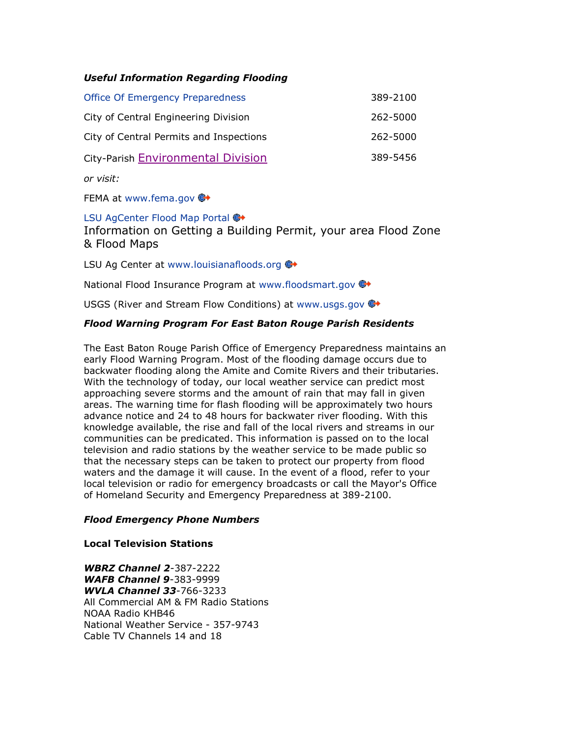# *Useful Information Regarding Flooding*

| Office Of Emergency Preparedness        | 389-2100 |
|-----------------------------------------|----------|
| City of Central Engineering Division    | 262-5000 |
| City of Central Permits and Inspections | 262-5000 |
| City-Parish Environmental Division      | 389-5456 |

*or visit:* 

FEMA at [www.fema.gov](http://www.fema.gov/) <del>©</del>

# [LSU AgCenter Flood Map Portal](http://www.lsuagcenter.com/floodmaps) ₩

Information on Getting a Building Permit, your area Flood Zone & Flood Maps

LSU Ag Center at [www.louisianafloods.org](http://www.louisianafloods.org/)  $\bigoplus$ 

National Flood Insurance Program at [www.floodsmart.gov](http://www.floodsmart.gov/) ...

USGS (River and Stream Flow Conditions) at [www.usgs.gov](http://www.usgs.gov/) ...

# *Flood Warning Program For East Baton Rouge Parish Residents*

The East Baton Rouge Parish Office of Emergency Preparedness maintains an early Flood Warning Program. Most of the flooding damage occurs due to backwater flooding along the Amite and Comite Rivers and their tributaries. With the technology of today, our local weather service can predict most approaching severe storms and the amount of rain that may fall in given areas. The warning time for flash flooding will be approximately two hours advance notice and 24 to 48 hours for backwater river flooding. With this knowledge available, the rise and fall of the local rivers and streams in our communities can be predicated. This information is passed on to the local television and radio stations by the weather service to be made public so that the necessary steps can be taken to protect our property from flood waters and the damage it will cause. In the event of a flood, refer to your local television or radio for emergency broadcasts or call the Mayor's Office of Homeland Security and Emergency Preparedness at 389-2100.

#### *Flood Emergency Phone Numbers*

#### **Local Television Stations**

*WBRZ Channel 2*-387-2222 *WAFB Channel 9*-383-9999 *WVLA Channel 33*-766-3233 All Commercial AM & FM Radio Stations NOAA Radio KHB46 National Weather Service - 357-9743 Cable TV Channels 14 and 18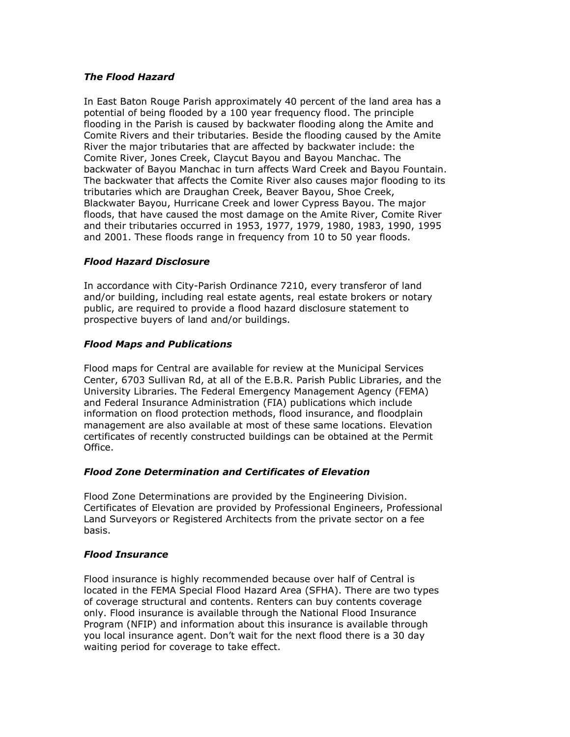# *The Flood Hazard*

In East Baton Rouge Parish approximately 40 percent of the land area has a potential of being flooded by a 100 year frequency flood. The principle flooding in the Parish is caused by backwater flooding along the Amite and Comite Rivers and their tributaries. Beside the flooding caused by the Amite River the major tributaries that are affected by backwater include: the Comite River, Jones Creek, Claycut Bayou and Bayou Manchac. The backwater of Bayou Manchac in turn affects Ward Creek and Bayou Fountain. The backwater that affects the Comite River also causes major flooding to its tributaries which are Draughan Creek, Beaver Bayou, Shoe Creek, Blackwater Bayou, Hurricane Creek and lower Cypress Bayou. The major floods, that have caused the most damage on the Amite River, Comite River and their tributaries occurred in 1953, 1977, 1979, 1980, 1983, 1990, 1995 and 2001. These floods range in frequency from 10 to 50 year floods.

# *Flood Hazard Disclosure*

In accordance with City-Parish Ordinance 7210, every transferor of land and/or building, including real estate agents, real estate brokers or notary public, are required to provide a flood hazard disclosure statement to prospective buyers of land and/or buildings.

# *Flood Maps and Publications*

Flood maps for Central are available for review at the Municipal Services Center, 6703 Sullivan Rd, at all of the E.B.R. Parish Public Libraries, and the University Libraries. The Federal Emergency Management Agency (FEMA) and Federal Insurance Administration (FIA) publications which include information on flood protection methods, flood insurance, and floodplain management are also available at most of these same locations. Elevation certificates of recently constructed buildings can be obtained at the Permit Office.

# *Flood Zone Determination and Certificates of Elevation*

Flood Zone Determinations are provided by the Engineering Division. Certificates of Elevation are provided by Professional Engineers, Professional Land Surveyors or Registered Architects from the private sector on a fee basis.

# *Flood Insurance*

Flood insurance is highly recommended because over half of Central is located in the FEMA Special Flood Hazard Area (SFHA). There are two types of coverage structural and contents. Renters can buy contents coverage only. Flood insurance is available through the National Flood Insurance Program (NFIP) and information about this insurance is available through you local insurance agent. Don't wait for the next flood there is a 30 day waiting period for coverage to take effect.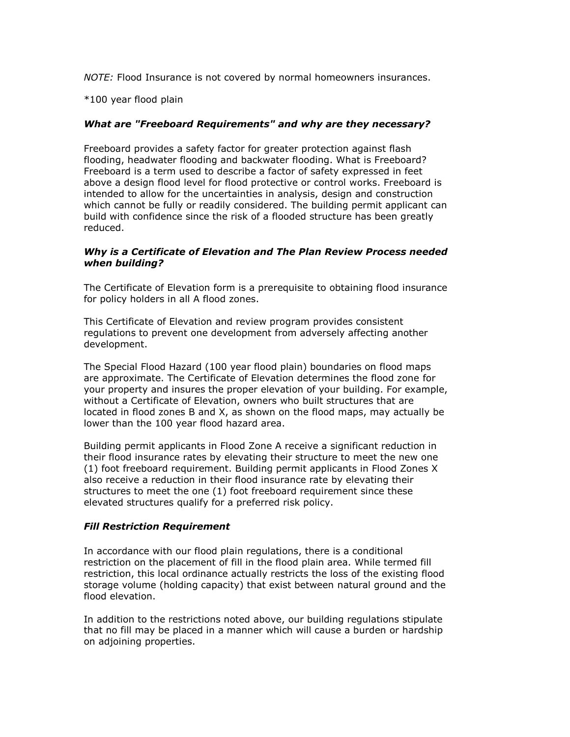*NOTE:* Flood Insurance is not covered by normal homeowners insurances.

\*100 year flood plain

#### *What are "Freeboard Requirements" and why are they necessary?*

Freeboard provides a safety factor for greater protection against flash flooding, headwater flooding and backwater flooding. What is Freeboard? Freeboard is a term used to describe a factor of safety expressed in feet above a design flood level for flood protective or control works. Freeboard is intended to allow for the uncertainties in analysis, design and construction which cannot be fully or readily considered. The building permit applicant can build with confidence since the risk of a flooded structure has been greatly reduced.

#### *Why is a Certificate of Elevation and The Plan Review Process needed when building?*

The Certificate of Elevation form is a prerequisite to obtaining flood insurance for policy holders in all A flood zones.

This Certificate of Elevation and review program provides consistent regulations to prevent one development from adversely affecting another development.

The Special Flood Hazard (100 year flood plain) boundaries on flood maps are approximate. The Certificate of Elevation determines the flood zone for your property and insures the proper elevation of your building. For example, without a Certificate of Elevation, owners who built structures that are located in flood zones B and X, as shown on the flood maps, may actually be lower than the 100 year flood hazard area.

Building permit applicants in Flood Zone A receive a significant reduction in their flood insurance rates by elevating their structure to meet the new one (1) foot freeboard requirement. Building permit applicants in Flood Zones X also receive a reduction in their flood insurance rate by elevating their structures to meet the one (1) foot freeboard requirement since these elevated structures qualify for a preferred risk policy.

# *Fill Restriction Requirement*

In accordance with our flood plain regulations, there is a conditional restriction on the placement of fill in the flood plain area. While termed fill restriction, this local ordinance actually restricts the loss of the existing flood storage volume (holding capacity) that exist between natural ground and the flood elevation.

In addition to the restrictions noted above, our building regulations stipulate that no fill may be placed in a manner which will cause a burden or hardship on adjoining properties.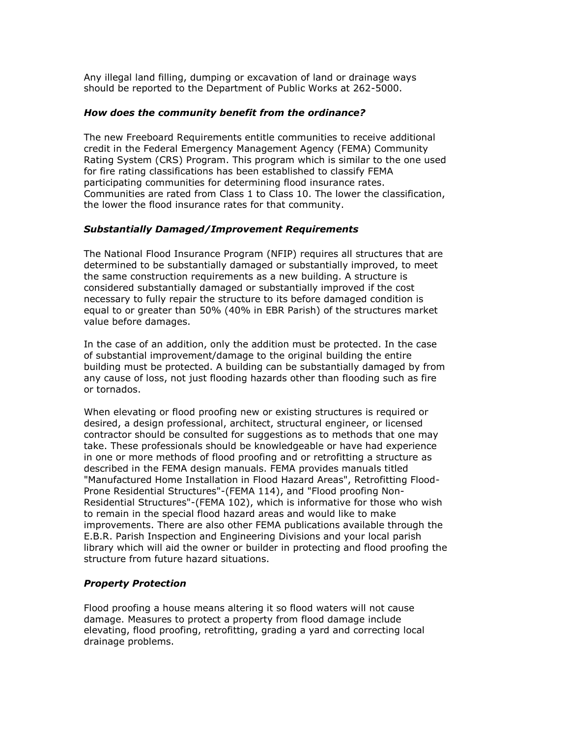Any illegal land filling, dumping or excavation of land or drainage ways should be reported to the Department of Public Works at 262-5000.

#### *How does the community benefit from the ordinance?*

The new Freeboard Requirements entitle communities to receive additional credit in the Federal Emergency Management Agency (FEMA) Community Rating System (CRS) Program. This program which is similar to the one used for fire rating classifications has been established to classify FEMA participating communities for determining flood insurance rates. Communities are rated from Class 1 to Class 10. The lower the classification, the lower the flood insurance rates for that community.

#### *Substantially Damaged/Improvement Requirements*

The National Flood Insurance Program (NFIP) requires all structures that are determined to be substantially damaged or substantially improved, to meet the same construction requirements as a new building. A structure is considered substantially damaged or substantially improved if the cost necessary to fully repair the structure to its before damaged condition is equal to or greater than 50% (40% in EBR Parish) of the structures market value before damages.

In the case of an addition, only the addition must be protected. In the case of substantial improvement/damage to the original building the entire building must be protected. A building can be substantially damaged by from any cause of loss, not just flooding hazards other than flooding such as fire or tornados.

When elevating or flood proofing new or existing structures is required or desired, a design professional, architect, structural engineer, or licensed contractor should be consulted for suggestions as to methods that one may take. These professionals should be knowledgeable or have had experience in one or more methods of flood proofing and or retrofitting a structure as described in the FEMA design manuals. FEMA provides manuals titled "Manufactured Home Installation in Flood Hazard Areas", Retrofitting Flood-Prone Residential Structures"-(FEMA 114), and "Flood proofing Non-Residential Structures"-(FEMA 102), which is informative for those who wish to remain in the special flood hazard areas and would like to make improvements. There are also other FEMA publications available through the E.B.R. Parish Inspection and Engineering Divisions and your local parish library which will aid the owner or builder in protecting and flood proofing the structure from future hazard situations.

# *Property Protection*

Flood proofing a house means altering it so flood waters will not cause damage. Measures to protect a property from flood damage include elevating, flood proofing, retrofitting, grading a yard and correcting local drainage problems.